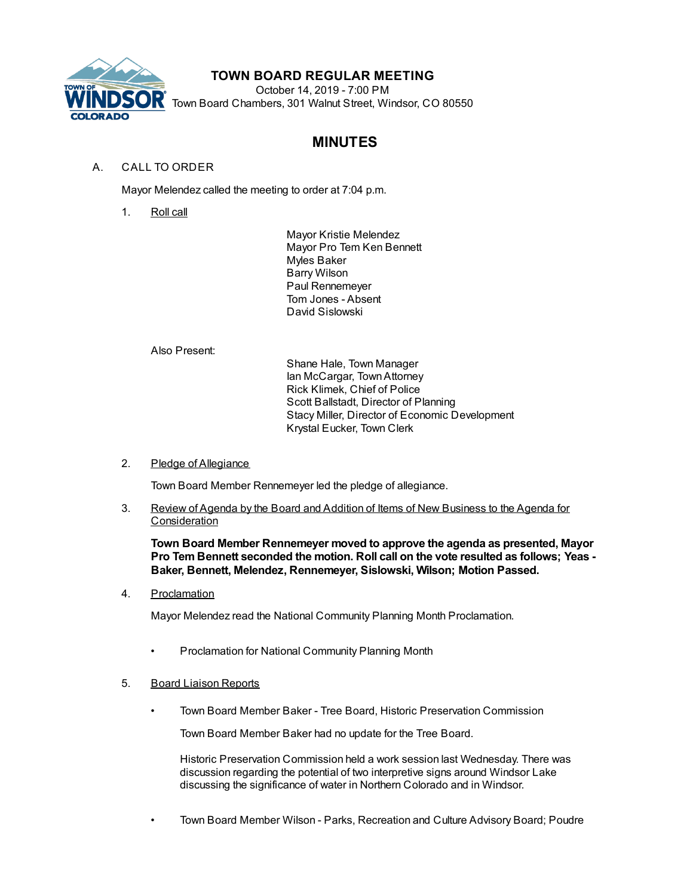

# **TOWN BOARD REGULAR MEETING**

October 14, 2019 - 7:00 PM Town Board Chambers, 301 Walnut Street, Windsor, CO 80550

# **MINUTES**

# A. CALL TO ORDER

Mayor Melendez called the meeting to order at 7:04 p.m.

1. Roll call

Mayor Kristie Melendez Mayor Pro Tem Ken Bennett Myles Baker Barry Wilson Paul Rennemeyer Tom Jones - Absent David Sislowski

Also Present:

Shane Hale, Town Manager Ian McCargar, TownAttorney Rick Klimek, Chief of Police Scott Ballstadt, Director of Planning Stacy Miller, Director of Economic Development Krystal Eucker, Town Clerk

## 2. Pledge of Allegiance

Town Board Member Rennemeyer led the pledge of allegiance.

3. Review of Agenda by the Board and Addition of Items of New Business to the Agenda for **Consideration** 

**Town Board Member Rennemeyer moved to approve the agenda as presented, Mayor Pro Tem Bennett seconded the motion. Roll call on the vote resulted as follows; Yeas - Baker, Bennett, Melendez, Rennemeyer, Sislowski, Wilson; Motion Passed.**

4. Proclamation

Mayor Melendez read the National Community Planning Month Proclamation.

- Proclamation for National Community Planning Month
- 5. Board Liaison Reports
	- Town Board Member Baker Tree Board, Historic Preservation Commission

Town Board Member Baker had no update for the Tree Board.

Historic Preservation Commission held a work session last Wednesday. There was discussion regarding the potential of two interpretive signs around Windsor Lake discussing the significance of water in Northern Colorado and in Windsor.

• Town Board Member Wilson - Parks, Recreation and Culture Advisory Board; Poudre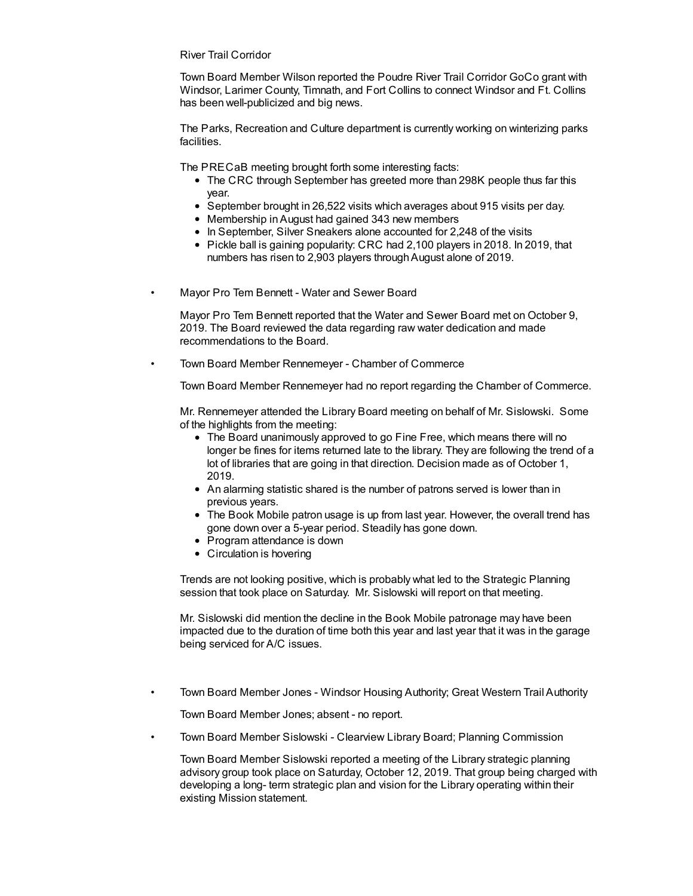River Trail Corridor

Town Board Member Wilson reported the Poudre River Trail Corridor GoCo grant with Windsor, Larimer County, Timnath, and Fort Collins to connect Windsor and Ft. Collins has been well-publicized and big news.

The Parks, Recreation and Culture department is currently working on winterizing parks facilities.

The PRECaB meeting brought forth some interesting facts:

- The CRC through September has greeted more than 298K people thus far this year.
- September brought in 26,522 visits which averages about 915 visits per day.
- Membership inAugust had gained 343 new members
- In September, Silver Sneakers alone accounted for 2,248 of the visits
- $\bullet$  Pickle ball is gaining popularity: CRC had 2,100 players in 2018. In 2019, that numbers has risen to 2,903 players through August alone of 2019.
- Mayor Pro Tem Bennett Water and Sewer Board

Mayor Pro Tem Bennett reported that the Water and Sewer Board met on October 9, 2019. The Board reviewed the data regarding raw water dedication and made recommendations to the Board.

• Town Board Member Rennemeyer - Chamber of Commerce

Town Board Member Rennemeyer had no report regarding the Chamber of Commerce.

Mr. Rennemeyer attended the Library Board meeting on behalf of Mr. Sislowski. Some of the highlights from the meeting:

- The Board unanimously approved to go Fine Free, which means there will no longer be fines for items returned late to the library. They are following the trend of a lot of libraries that are going in that direction. Decision made as of October 1, 2019.
- An alarming statistic shared is the number of patrons served is lower than in previous years.
- The Book Mobile patron usage is up from last year. However, the overall trend has gone down over a 5-year period. Steadily has gone down.
- Program attendance is down
- Circulation is hovering

Trends are not looking positive, which is probably what led to the Strategic Planning session that took place on Saturday. Mr. Sislowski will report on that meeting.

Mr. Sislowski did mention the decline in the Book Mobile patronage may have been impacted due to the duration of time both this year and last year that it was in the garage being serviced for A/C issues.

• Town Board Member Jones - Windsor Housing Authority; Great Western Trail Authority

Town Board Member Jones; absent - no report.

• Town Board Member Sislowski - Clearview Library Board; Planning Commission

Town Board Member Sislowski reported a meeting of the Library strategic planning advisory group took place on Saturday, October 12, 2019. That group being charged with developing a long- term strategic plan and vision for the Library operating within their existing Mission statement.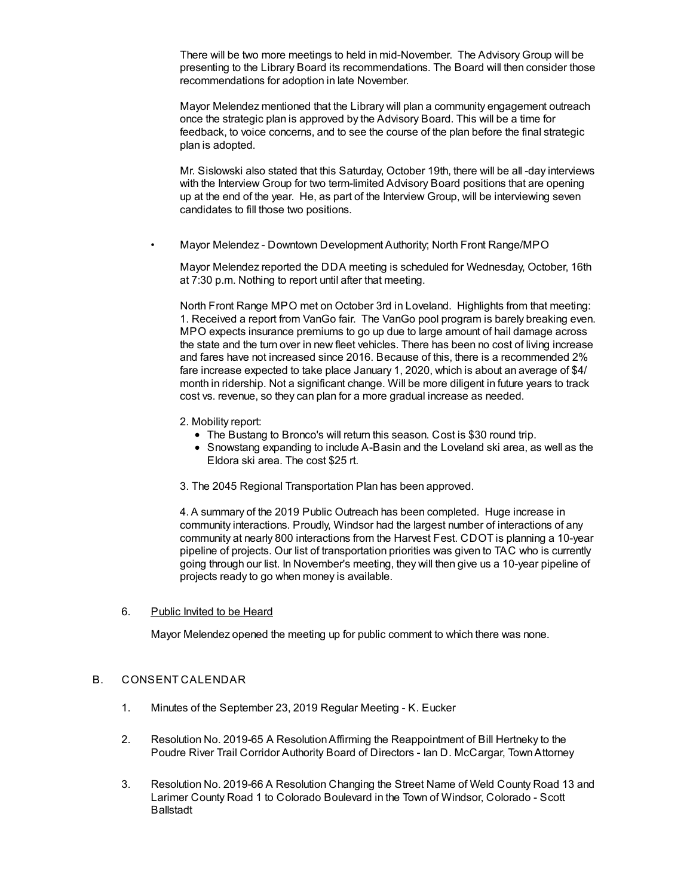There will be two more meetings to held in mid-November. The Advisory Group will be presenting to the Library Board its recommendations. The Board will then consider those recommendations for adoption in late November.

Mayor Melendez mentioned that the Library will plan a community engagement outreach once the strategic plan is approved by the Advisory Board. This will be a time for feedback, to voice concerns, and to see the course of the plan before the final strategic plan is adopted.

Mr. Sislowski also stated that this Saturday, October 19th, there will be all -day interviews with the Interview Group for two term-limited Advisory Board positions that are opening up at the end of the year. He, as part of the Interview Group, will be interviewing seven candidates to fill those two positions.

• Mayor Melendez - Downtown Development Authority; North Front Range/MPO

Mayor Melendez reported the DDA meeting is scheduled for Wednesday, October, 16th at 7:30 p.m. Nothing to report until after that meeting.

North Front Range MPO met on October 3rd in Loveland. Highlights from that meeting: 1. Received a report from VanGo fair. The VanGo pool program is barely breaking even. MPO expects insurance premiums to go up due to large amount of hail damage across the state and the turn over in new fleet vehicles. There has been no cost of living increase and fares have not increased since 2016. Because of this, there is a recommended 2% fare increase expected to take place January 1, 2020, which is about an average of \$4/ month in ridership. Not a significant change. Will be more diligent in future years to track cost vs. revenue, so they can plan for a more gradual increase as needed.

- 2. Mobility report:
	- The Bustang to Bronco's will return this season. Cost is \$30 round trip.
	- Snowstang expanding to include A-Basin and the Loveland ski area, as well as the Eldora ski area. The cost \$25 rt.
- 3. The 2045 Regional Transportation Plan has been approved.

4. A summary of the 2019 Public Outreach has been completed. Huge increase in community interactions. Proudly, Windsor had the largest number of interactions of any community at nearly 800 interactions from the Harvest Fest. CDOT is planning a 10-year pipeline of projects. Our list of transportation priorities was given to TAC who is currently going through our list. In November's meeting, they will then give us a 10-year pipeline of projects ready to go when money is available.

### 6. Public Invited to be Heard

Mayor Melendez opened the meeting up for public comment to which there was none.

### B. CONSENT CALENDAR

- 1. Minutes of the September 23, 2019 Regular Meeting K. Eucker
- 2. Resolution No. 2019-65 A ResolutionAffirming the Reappointment of Bill Hertneky to the Poudre River Trail Corridor Authority Board of Directors - Ian D. McCargar, TownAttorney
- 3. Resolution No. 2019-66 A Resolution Changing the Street Name of Weld County Road 13 and Larimer County Road 1 to Colorado Boulevard in the Town of Windsor, Colorado - Scott Ballstadt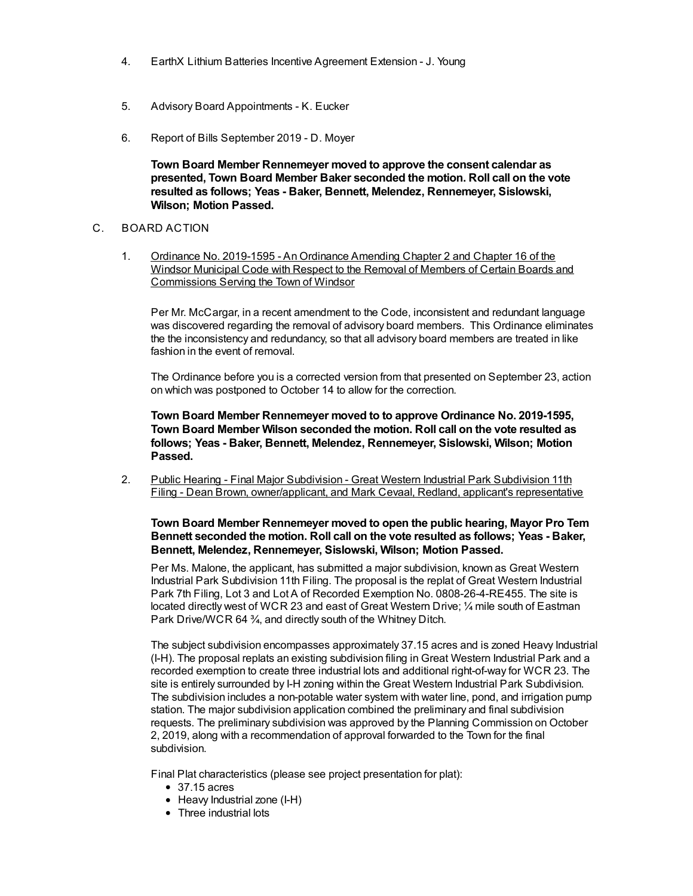- 4. EarthX Lithium Batteries Incentive Agreement Extension J. Young
- 5. Advisory Board Appointments K. Eucker
- 6. Report of Bills September 2019 D. Moyer

**Town Board Member Rennemeyer moved to approve the consent calendar as presented, Town Board Member Baker seconded the motion. Roll call on the vote resulted as follows; Yeas - Baker, Bennett, Melendez, Rennemeyer, Sislowski, Wilson; Motion Passed.**

#### C. BOARD ACTION

1. Ordinance No. 2019-1595 - An Ordinance Amending Chapter 2 and Chapter 16 of the Windsor Municipal Code with Respect to the Removal of Members of Certain Boards and Commissions Serving the Town of Windsor

Per Mr. McCargar, in a recent amendment to the Code, inconsistent and redundant language was discovered regarding the removal of advisory board members. This Ordinance eliminates the the inconsistency and redundancy, so that all advisory board members are treated in like fashion in the event of removal.

The Ordinance before you is a corrected version from that presented on September 23, action on which was postponed to October 14 to allow for the correction.

**Town Board Member Rennemeyer moved to to approve Ordinance No. 2019-1595, Town Board Member Wilson seconded the motion. Roll call on the vote resulted as follows; Yeas - Baker, Bennett, Melendez, Rennemeyer, Sislowski, Wilson; Motion Passed.**

2. Public Hearing - Final Major Subdivision - Great Western Industrial Park Subdivision 11th Filing - Dean Brown, owner/applicant, and Mark Cevaal, Redland, applicant's representative

**Town Board Member Rennemeyer moved to open the public hearing, Mayor Pro Tem Bennett seconded the motion. Roll call on the vote resulted as follows; Yeas - Baker, Bennett, Melendez, Rennemeyer, Sislowski, Wilson; Motion Passed.**

Per Ms. Malone, the applicant, has submitted a major subdivision, known as Great Western Industrial Park Subdivision 11th Filing. The proposal is the replat of Great Western Industrial Park 7th Filing, Lot 3 and Lot A of Recorded Exemption No. 0808-26-4-RE455. The site is located directly west of WCR 23 and east of Great Western Drive; ¼ mile south of Eastman Park Drive/WCR 64 ¾, and directly south of the Whitney Ditch.

The subject subdivision encompasses approximately 37.15 acres and is zoned Heavy Industrial (I-H). The proposal replats an existing subdivision filing in Great Western Industrial Park and a recorded exemption to create three industrial lots and additional right-of-way for WCR 23. The site is entirely surrounded by I-H zoning within the Great Western Industrial Park Subdivision. The subdivision includes a non-potable water system with water line, pond, and irrigation pump station. The major subdivision application combined the preliminary and final subdivision requests. The preliminary subdivision was approved by the Planning Commission on October 2, 2019, along with a recommendation of approval forwarded to the Town for the final subdivision.

Final Plat characteristics (please see project presentation for plat):

- 37.15 acres
- Heavy Industrial zone (I-H)
- Three industrial lots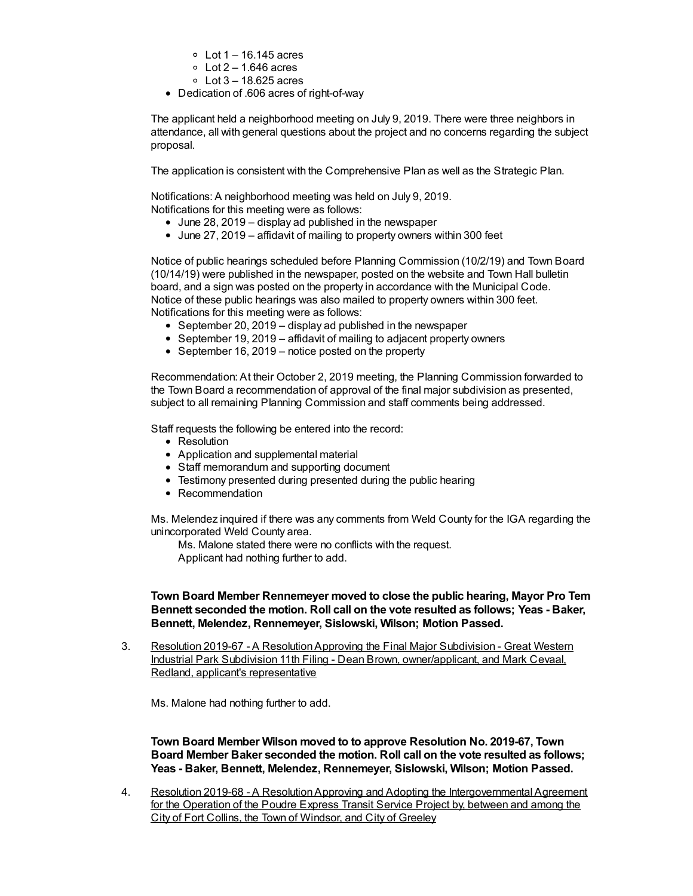- $\circ$  Lot 1 16.145 acres
- $\circ$  Lot 2 1.646 acres
- $\circ$  Lot 3 18.625 acres
- Dedication of .606 acres of right-of-way

The applicant held a neighborhood meeting on July 9, 2019. There were three neighbors in attendance, all with general questions about the project and no concerns regarding the subject proposal.

The application is consistent with the Comprehensive Plan as well as the Strategic Plan.

Notifications: A neighborhood meeting was held on July 9, 2019. Notifications for this meeting were as follows:

- $\bullet$  June 28, 2019 display ad published in the newspaper
- June 27, 2019 affidavit of mailing to property owners within 300 feet

Notice of public hearings scheduled before Planning Commission (10/2/19) and Town Board (10/14/19) were published in the newspaper, posted on the website and Town Hall bulletin board, and a sign was posted on the property in accordance with the Municipal Code. Notice of these public hearings was also mailed to property owners within 300 feet. Notifications for this meeting were as follows:

- September 20, 2019 display ad published in the newspaper
- September 19, 2019 affidavit of mailing to adjacent property owners
- September 16, 2019 notice posted on the property

Recommendation: At their October 2, 2019 meeting, the Planning Commission forwarded to the Town Board a recommendation of approval of the final major subdivision as presented, subject to all remaining Planning Commission and staff comments being addressed.

Staff requests the following be entered into the record:

- Resolution
- Application and supplemental material
- Staff memorandum and supporting document
- Testimony presented during presented during the public hearing
- Recommendation

Ms. Melendez inquired if there was any comments from Weld County for the IGA regarding the unincorporated Weld County area.

Ms. Malone stated there were no conflicts with the request.

Applicant had nothing further to add.

## **Town Board Member Rennemeyer moved to close the public hearing, Mayor Pro Tem Bennett seconded the motion. Roll call on the vote resulted as follows; Yeas - Baker, Bennett, Melendez, Rennemeyer, Sislowski, Wilson; Motion Passed.**

3. Resolution 2019-67 - A Resolution Approving the Final Major Subdivision - Great Western Industrial Park Subdivision 11th Filing - Dean Brown, owner/applicant, and Mark Cevaal, Redland, applicant's representative

Ms. Malone had nothing further to add.

**Town Board Member Wilson moved to to approve Resolution No. 2019-67, Town Board Member Baker seconded the motion. Roll call on the vote resulted as follows; Yeas - Baker, Bennett, Melendez, Rennemeyer, Sislowski, Wilson; Motion Passed.**

4. Resolution 2019-68 - A ResolutionApproving and Adopting the Intergovernmental Agreement for the Operation of the Poudre Express Transit Service Project by, between and among the City of Fort Collins, the Town of Windsor, and City of Greeley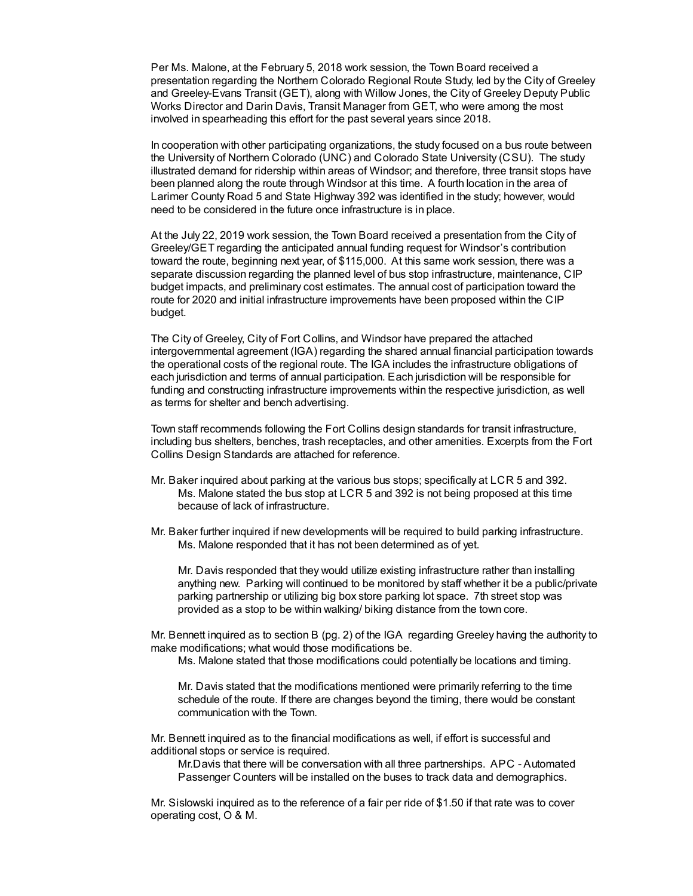Per Ms. Malone, at the February 5, 2018 work session, the Town Board received a presentation regarding the Northern Colorado Regional Route Study, led by the City of Greeley and Greeley-Evans Transit (GET), along with Willow Jones, the City of Greeley Deputy Public Works Director and Darin Davis, Transit Manager from GET, who were among the most involved in spearheading this effort for the past several years since 2018.

In cooperation with other participating organizations, the study focused on a bus route between the University of Northern Colorado (UNC) and Colorado State University (CSU). The study illustrated demand for ridership within areas of Windsor; and therefore, three transit stops have been planned along the route through Windsor at this time. A fourth location in the area of Larimer County Road 5 and State Highway 392 was identified in the study; however, would need to be considered in the future once infrastructure is in place.

At the July 22, 2019 work session, the Town Board received a presentation from the City of Greeley/GET regarding the anticipated annual funding request for Windsor's contribution toward the route, beginning next year, of \$115,000. At this same work session, there was a separate discussion regarding the planned level of bus stop infrastructure, maintenance, CIP budget impacts, and preliminary cost estimates. The annual cost of participation toward the route for 2020 and initial infrastructure improvements have been proposed within the CIP budget.

The City of Greeley, City of Fort Collins, and Windsor have prepared the attached intergovernmental agreement (IGA) regarding the shared annual financial participation towards the operational costs of the regional route. The IGA includes the infrastructure obligations of each jurisdiction and terms of annual participation. Each jurisdiction will be responsible for funding and constructing infrastructure improvements within the respective jurisdiction, as well as terms for shelter and bench advertising.

Town staff recommends following the Fort Collins design standards for transit infrastructure, including bus shelters, benches, trash receptacles, and other amenities. Excerpts from the Fort Collins Design Standards are attached for reference.

- Mr. Baker inquired about parking at the various bus stops; specifically at LCR 5 and 392. Ms. Malone stated the bus stop at LCR 5 and 392 is not being proposed at this time because of lack of infrastructure.
- Mr. Baker further inquired if new developments will be required to build parking infrastructure. Ms. Malone responded that it has not been determined as of yet.

Mr. Davis responded that they would utilize existing infrastructure rather than installing anything new. Parking will continued to be monitored by staff whether it be a public/private parking partnership or utilizing big box store parking lot space. 7th street stop was provided as a stop to be within walking/ biking distance from the town core.

Mr. Bennett inquired as to section B (pg. 2) of the IGA regarding Greeley having the authority to make modifications; what would those modifications be.

Ms. Malone stated that those modifications could potentially be locations and timing.

Mr. Davis stated that the modifications mentioned were primarily referring to the time schedule of the route. If there are changes beyond the timing, there would be constant communication with the Town.

Mr. Bennett inquired as to the financial modifications as well, if effort is successful and additional stops or service is required.

Mr.Davis that there will be conversation with all three partnerships. APC - Automated Passenger Counters will be installed on the buses to track data and demographics.

Mr. Sislowski inquired as to the reference of a fair per ride of \$1.50 if that rate was to cover operating cost, O & M.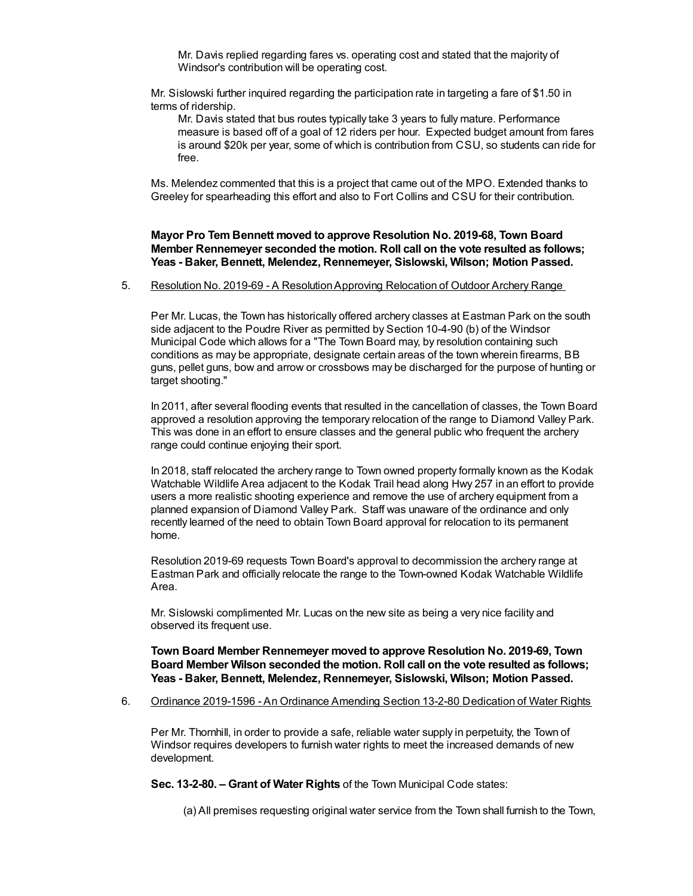Mr. Davis replied regarding fares vs. operating cost and stated that the majority of Windsor's contribution will be operating cost.

Mr. Sislowski further inquired regarding the participation rate in targeting a fare of \$1.50 in terms of ridership.

Mr. Davis stated that bus routes typically take 3 years to fully mature. Performance measure is based off of a goal of 12 riders per hour. Expected budget amount from fares is around \$20k per year, some of which is contribution from CSU, so students can ride for free.

Ms. Melendez commented that this is a project that came out of the MPO. Extended thanks to Greeley for spearheading this effort and also to Fort Collins and CSU for their contribution.

**Mayor Pro Tem Bennett moved to approve Resolution No. 2019-68, Town Board Member Rennemeyer seconded the motion. Roll call on the vote resulted as follows; Yeas - Baker, Bennett, Melendez, Rennemeyer, Sislowski, Wilson; Motion Passed.**

#### 5. Resolution No. 2019-69 - A ResolutionApproving Relocation of Outdoor Archery Range

Per Mr. Lucas, the Town has historically offered archery classes at Eastman Park on the south side adjacent to the Poudre River as permitted by Section 10-4-90 (b) of the Windsor Municipal Code which allows for a "The Town Board may, by resolution containing such conditions as may be appropriate, designate certain areas of the town wherein firearms, BB guns, pellet guns, bow and arrow or crossbows may be discharged for the purpose of hunting or target shooting."

In 2011, after several flooding events that resulted in the cancellation of classes, the Town Board approved a resolution approving the temporary relocation of the range to Diamond Valley Park. This was done in an effort to ensure classes and the general public who frequent the archery range could continue enjoying their sport.

In 2018, staff relocated the archery range to Town owned property formally known as the Kodak Watchable Wildlife Area adjacent to the Kodak Trail head along Hwy 257 in an effort to provide users a more realistic shooting experience and remove the use of archery equipment from a planned expansion of Diamond Valley Park. Staff was unaware of the ordinance and only recently learned of the need to obtain Town Board approval for relocation to its permanent home.

Resolution 2019-69 requests Town Board's approval to decommission the archery range at Eastman Park and officially relocate the range to the Town-owned Kodak Watchable Wildlife Area.

Mr. Sislowski complimented Mr. Lucas on the new site as being a very nice facility and observed its frequent use.

**Town Board Member Rennemeyer moved to approve Resolution No. 2019-69, Town Board Member Wilson seconded the motion. Roll call on the vote resulted as follows; Yeas - Baker, Bennett, Melendez, Rennemeyer, Sislowski, Wilson; Motion Passed.**

6. Ordinance 2019-1596 - An Ordinance Amending Section 13-2-80 Dedication of Water Rights

Per Mr. Thornhill, in order to provide a safe, reliable water supply in perpetuity, the Town of Windsor requires developers to furnish water rights to meet the increased demands of new development.

**Sec. 13-2-80. – Grant of Water Rights** of the Town Municipal Code states:

(a) All premises requesting original water service from the Town shall furnish to the Town,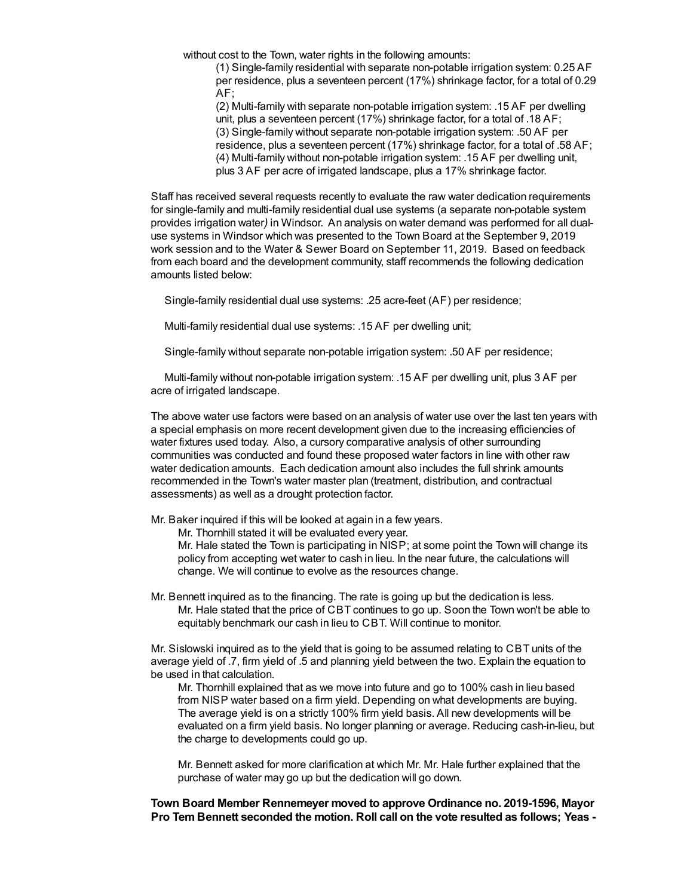without cost to the Town, water rights in the following amounts:

(1) Single-family residential with separate non-potable irrigation system: 0.25 AF per residence, plus a seventeen percent (17%) shrinkage factor, for a total of 0.29 AF;

(2) Multi-family with separate non-potable irrigation system: .15 AF per dwelling unit, plus a seventeen percent (17%) shrinkage factor, for a total of .18 AF; (3) Single-family without separate non-potable irrigation system: .50 AF per residence, plus a seventeen percent (17%) shrinkage factor, for a total of .58 AF; (4) Multi-family without non-potable irrigation system: .15 AF per dwelling unit, plus 3 AF per acre of irrigated landscape, plus a 17% shrinkage factor.

Staff has received several requests recently to evaluate the raw water dedication requirements for single-family and multi-family residential dual use systems (a separate non-potable system provides irrigation water*)* in Windsor. An analysis on water demand was performed for all dualuse systems in Windsor which was presented to the Town Board at the September 9, 2019 work session and to the Water & Sewer Board on September 11, 2019. Based on feedback from each board and the development community, staff recommends the following dedication amounts listed below:

Single-family residential dual use systems: .25 acre-feet (AF) per residence;

Multi-family residential dual use systems: .15 AF per dwelling unit;

Single-family without separate non-potable irrigation system: .50 AF per residence;

Multi-family without non-potable irrigation system: .15 AF per dwelling unit, plus 3 AF per acre of irrigated landscape.

The above water use factors were based on an analysis of water use over the last ten years with a special emphasis on more recent development given due to the increasing efficiencies of water fixtures used today. Also, a cursory comparative analysis of other surrounding communities was conducted and found these proposed water factors in line with other raw water dedication amounts. Each dedication amount also includes the full shrink amounts recommended in the Town's water master plan (treatment, distribution, and contractual assessments) as well as a drought protection factor.

Mr. Baker inquired if this will be looked at again in a few years.

Mr. Thornhill stated it will be evaluated every year.

Mr. Hale stated the Town is participating in NISP; at some point the Town will change its policy from accepting wet water to cash in lieu. In the near future, the calculations will change. We will continue to evolve as the resources change.

Mr. Bennett inquired as to the financing. The rate is going up but the dedication is less. Mr. Hale stated that the price of CBT continues to go up. Soon the Town won't be able to equitably benchmark our cash in lieu to CBT. Will continue to monitor.

Mr. Sislowski inquired as to the yield that is going to be assumed relating to CBT units of the average yield of .7, firm yield of .5 and planning yield between the two. Explain the equation to be used in that calculation.

Mr. Thornhill explained that as we move into future and go to 100% cash in lieu based from NISP water based on a firm yield. Depending on what developments are buying. The average yield is on a strictly 100% firm yield basis. All new developments will be evaluated on a firm yield basis. No longer planning or average. Reducing cash-in-lieu, but the charge to developments could go up.

Mr. Bennett asked for more clarification at which Mr. Mr. Hale further explained that the purchase of water may go up but the dedication will go down.

**Town Board Member Rennemeyer moved to approve Ordinance no. 2019-1596, Mayor Pro Tem Bennett seconded the motion. Roll call on the vote resulted as follows; Yeas -**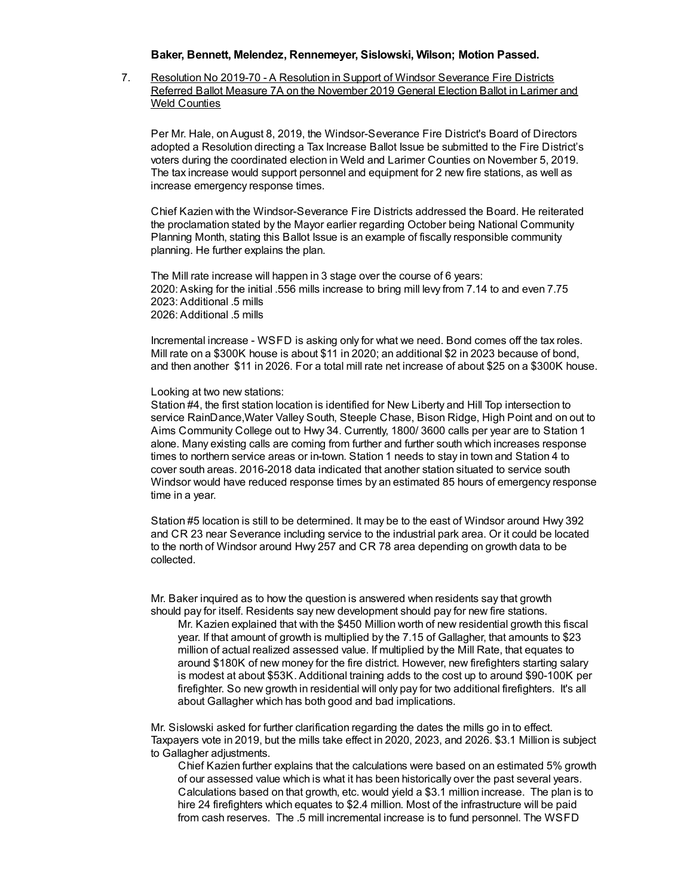#### **Baker, Bennett, Melendez, Rennemeyer, Sislowski, Wilson; Motion Passed.**

7. Resolution No 2019-70 - A Resolution in Support of Windsor Severance Fire Districts Referred Ballot Measure 7A on the November 2019 General Election Ballot in Larimer and Weld Counties

Per Mr. Hale, onAugust 8, 2019, the Windsor-Severance Fire District's Board of Directors adopted a Resolution directing a Tax Increase Ballot Issue be submitted to the Fire District's voters during the coordinated election in Weld and Larimer Counties on November 5, 2019. The tax increase would support personnel and equipment for 2 new fire stations, as well as increase emergency response times.

Chief Kazien with the Windsor-Severance Fire Districts addressed the Board. He reiterated the proclamation stated by the Mayor earlier regarding October being National Community Planning Month, stating this Ballot Issue is an example of fiscally responsible community planning. He further explains the plan.

The Mill rate increase will happen in 3 stage over the course of 6 years: 2020: Asking for the initial .556 mills increase to bring mill levy from 7.14 to and even 7.75 2023: Additional .5 mills 2026: Additional 5 mills

Incremental increase - WSFD is asking only for what we need. Bond comes off the tax roles. Mill rate on a \$300K house is about \$11 in 2020; an additional \$2 in 2023 because of bond, and then another \$11 in 2026. For a total mill rate net increase of about \$25 on a \$300K house.

#### Looking at two new stations:

Station #4, the first station location is identified for New Liberty and Hill Top intersection to service RainDance,Water Valley South, Steeple Chase, Bison Ridge, High Point and on out to Aims Community College out to Hwy 34. Currently, 1800/ 3600 calls per year are to Station 1 alone. Many existing calls are coming from further and further south which increases response times to northern service areas or in-town. Station 1 needs to stay in town and Station 4 to cover south areas. 2016-2018 data indicated that another station situated to service south Windsor would have reduced response times by an estimated 85 hours of emergency response time in a year.

Station #5 location is still to be determined. It may be to the east of Windsor around Hwy 392 and CR 23 near Severance including service to the industrial park area. Or it could be located to the north of Windsor around Hwy 257 and CR 78 area depending on growth data to be collected.

Mr. Baker inquired as to how the question is answered when residents say that growth should pay for itself. Residents say new development should pay for new fire stations.

Mr. Kazien explained that with the \$450 Million worth of new residential growth this fiscal year. If that amount of growth is multiplied by the 7.15 of Gallagher, that amounts to \$23 million of actual realized assessed value. If multiplied by the Mill Rate, that equates to around \$180K of new money for the fire district. However, new firefighters starting salary is modest at about \$53K. Additional training adds to the cost up to around \$90-100K per firefighter. So new growth in residential will only pay for two additional firefighters. It's all about Gallagher which has both good and bad implications.

Mr. Sislowski asked for further clarification regarding the dates the mills go in to effect. Taxpayers vote in 2019, but the mills take effect in 2020, 2023, and 2026. \$3.1 Million is subject to Gallagher adjustments.

Chief Kazien further explains that the calculations were based on an estimated 5% growth of our assessed value which is what it has been historically over the past several years. Calculations based on that growth, etc. would yield a \$3.1 million increase. The plan is to hire 24 firefighters which equates to \$2.4 million. Most of the infrastructure will be paid from cash reserves. The .5 mill incremental increase is to fund personnel. The WSFD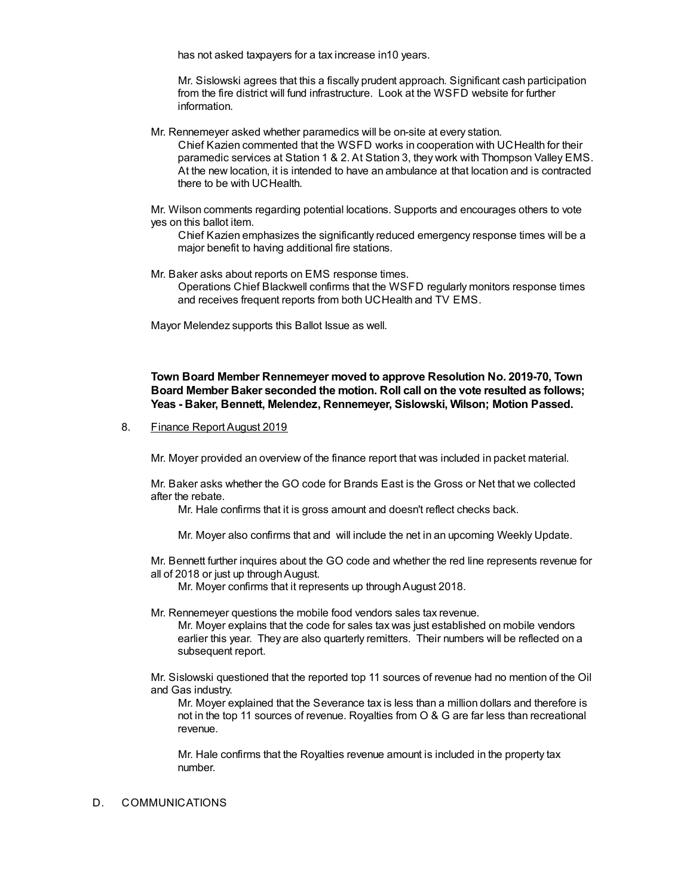has not asked taxpayers for a tax increase in10 years.

Mr. Sislowski agrees that this a fiscally prudent approach. Significant cash participation from the fire district will fund infrastructure. Look at the WSFD website for further information.

Mr. Rennemeyer asked whether paramedics will be on-site at every station.

Chief Kazien commented that the WSFD works in cooperation with UCHealth for their paramedic services at Station 1 & 2. At Station 3, they work with Thompson Valley EMS. At the new location, it is intended to have an ambulance at that location and is contracted there to be with UCHealth.

Mr. Wilson comments regarding potential locations. Supports and encourages others to vote yes on this ballot item.

Chief Kazien emphasizes the significantly reduced emergency response times will be a major benefit to having additional fire stations.

Mr. Baker asks about reports on EMS response times. Operations Chief Blackwell confirms that the WSFD regularly monitors response times and receives frequent reports from both UCHealth and TV EMS.

Mayor Melendez supports this Ballot Issue as well.

**Town Board Member Rennemeyer moved to approve Resolution No. 2019-70, Town Board Member Baker seconded the motion. Roll call on the vote resulted as follows; Yeas - Baker, Bennett, Melendez, Rennemeyer, Sislowski, Wilson; Motion Passed.**

8. Finance Report August 2019

Mr. Moyer provided an overview of the finance report that was included in packet material.

Mr. Baker asks whether the GO code for Brands East is the Gross or Net that we collected after the rebate.

Mr. Hale confirms that it is gross amount and doesn't reflect checks back.

Mr. Moyer also confirms that and will include the net in an upcoming Weekly Update.

Mr. Bennett further inquires about the GO code and whether the red line represents revenue for all of 2018 or just up throughAugust.

Mr. Moyer confirms that it represents up through August 2018.

Mr. Rennemeyer questions the mobile food vendors sales tax revenue.

Mr. Moyer explains that the code for sales tax was just established on mobile vendors earlier this year. They are also quarterly remitters. Their numbers will be reflected on a subsequent report.

Mr. Sislowski questioned that the reported top 11 sources of revenue had no mention of the Oil and Gas industry.

Mr. Moyer explained that the Severance tax is less than a million dollars and therefore is not in the top 11 sources of revenue. Royalties from O & G are far less than recreational revenue.

Mr. Hale confirms that the Royalties revenue amount is included in the property tax number.

## D. COMMUNICATIONS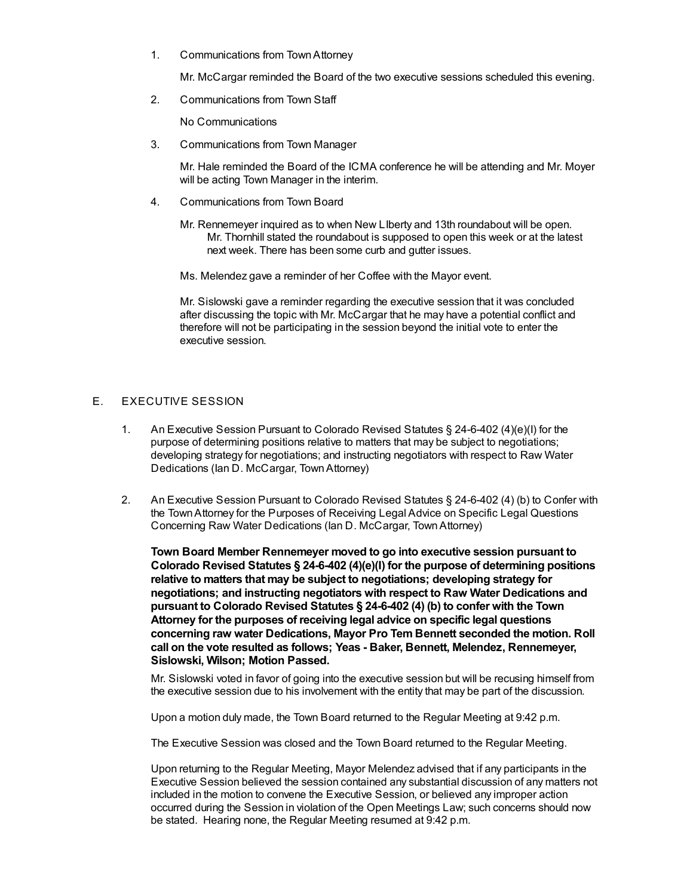1. Communications from TownAttorney

Mr. McCargar reminded the Board of the two executive sessions scheduled this evening.

2. Communications from Town Staff

No Communications

3. Communications from Town Manager

Mr. Hale reminded the Board of the ICMA conference he will be attending and Mr. Moyer will be acting Town Manager in the interim.

- 4. Communications from Town Board
	- Mr. Rennemeyer inquired as to when New LIberty and 13th roundabout will be open. Mr. Thornhill stated the roundabout is supposed to open this week or at the latest next week. There has been some curb and gutter issues.

Ms. Melendez gave a reminder of her Coffee with the Mayor event.

Mr. Sislowski gave a reminder regarding the executive session that it was concluded after discussing the topic with Mr. McCargar that he may have a potential conflict and therefore will not be participating in the session beyond the initial vote to enter the executive session.

### E. EXECUTIVE SESSION

- 1. An Executive Session Pursuant to Colorado Revised Statutes § 24-6-402 (4)(e)(I) for the purpose of determining positions relative to matters that may be subject to negotiations; developing strategy for negotiations; and instructing negotiators with respect to Raw Water Dedications (Ian D. McCargar, TownAttorney)
- 2. An Executive Session Pursuant to Colorado Revised Statutes § 24-6-402 (4) (b) to Confer with the TownAttorney for the Purposes of Receiving Legal Advice on Specific Legal Questions Concerning Raw Water Dedications (Ian D. McCargar, TownAttorney)

**Town Board Member Rennemeyer moved to go into executive session pursuant to Colorado Revised Statutes § 24-6-402 (4)(e)(I) for the purpose of determining positions relative to matters that may be subject to negotiations; developing strategy for negotiations; and instructing negotiators with respect to Raw Water Dedications and pursuant to Colorado Revised Statutes § 24-6-402 (4) (b) to confer with the Town Attorney for the purposes of receiving legal advice on specific legal questions concerning raw water Dedications, Mayor Pro Tem Bennett seconded the motion. Roll call on the vote resulted as follows; Yeas - Baker, Bennett, Melendez, Rennemeyer, Sislowski, Wilson; Motion Passed.**

Mr. Sislowski voted in favor of going into the executive session but will be recusing himself from the executive session due to his involvement with the entity that may be part of the discussion.

Upon a motion duly made, the Town Board returned to the Regular Meeting at 9:42 p.m.

The Executive Session was closed and the Town Board returned to the Regular Meeting.

Upon returning to the Regular Meeting, Mayor Melendez advised that if any participants in the Executive Session believed the session contained any substantial discussion of any matters not included in the motion to convene the Executive Session, or believed any improper action occurred during the Session in violation of the Open Meetings Law; such concerns should now be stated. Hearing none, the Regular Meeting resumed at 9:42 p.m.